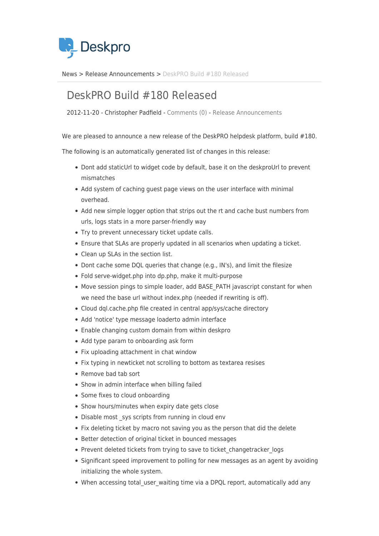

[News](https://support.deskpro.com/sv/news) > [Release Announcements](https://support.deskpro.com/sv/news/release-announcements) > [DeskPRO Build #180 Released](https://support.deskpro.com/sv/news/posts/deskpro-build-180-released)

## DeskPRO Build #180 Released

2012-11-20 - Christopher Padfield - [Comments \(0\)](#page--1-0) - [Release Announcements](https://support.deskpro.com/sv/news/release-announcements)

We are pleased to announce a new release of the DeskPRO helpdesk platform, build #180.

The following is an automatically generated list of changes in this release:

- Dont add staticUrl to widget code by default, base it on the deskproUrl to prevent mismatches
- Add system of caching guest page views on the user interface with minimal overhead.
- Add new simple logger option that strips out the rt and cache bust numbers from urls, logs stats in a more parser-friendly way
- Try to prevent unnecessary ticket update calls.
- Ensure that SLAs are properly updated in all scenarios when updating a ticket.
- Clean up SLAs in the section list.
- Dont cache some DQL queries that change (e.g., IN's), and limit the filesize
- Fold serve-widget.php into dp.php, make it multi-purpose
- Move session pings to simple loader, add BASE\_PATH javascript constant for when we need the base url without index.php (needed if rewriting is off).
- Cloud dql.cache.php file created in central app/sys/cache directory
- Add 'notice' type message loaderto admin interface
- Enable changing custom domain from within deskpro
- Add type param to onboarding ask form
- Fix uploading attachment in chat window
- Fix typing in newticket not scrolling to bottom as textarea resises
- Remove bad tab sort
- Show in admin interface when billing failed
- Some fixes to cloud onboarding
- Show hours/minutes when expiry date gets close
- Disable most sys scripts from running in cloud env
- Fix deleting ticket by macro not saving you as the person that did the delete
- Better detection of original ticket in bounced messages
- Prevent deleted tickets from trying to save to ticket changetracker logs
- Significant speed improvement to polling for new messages as an agent by avoiding initializing the whole system.
- When accessing total user waiting time via a DPQL report, automatically add any